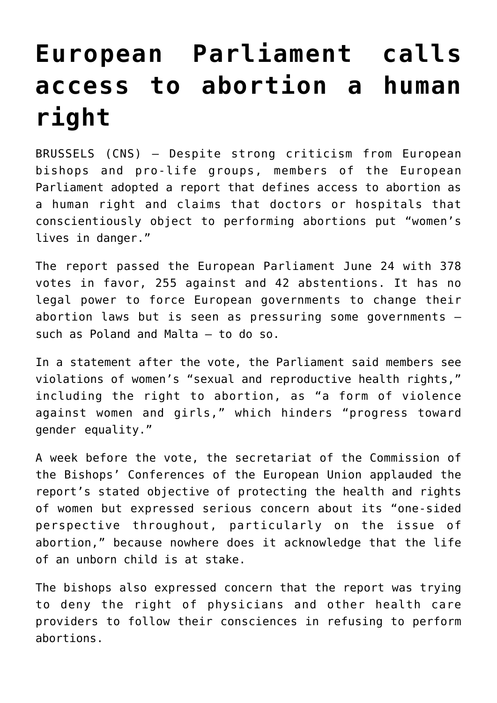## **[European Parliament calls](https://www.osvnews.com/2021/06/25/european-parliament-calls-access-to-abortion-a-human-right/) [access to abortion a human](https://www.osvnews.com/2021/06/25/european-parliament-calls-access-to-abortion-a-human-right/) [right](https://www.osvnews.com/2021/06/25/european-parliament-calls-access-to-abortion-a-human-right/)**

BRUSSELS (CNS) — Despite strong criticism from European bishops and pro-life groups, members of the European Parliament adopted a report that defines access to abortion as a human right and claims that doctors or hospitals that conscientiously object to performing abortions put "women's lives in danger."

The report passed the European Parliament June 24 with 378 votes in favor, 255 against and 42 abstentions. It has no legal power to force European governments to change their abortion laws but is seen as pressuring some governments such as Poland and Malta — to do so.

In a statement after the vote, the Parliament said members see violations of women's "sexual and reproductive health rights," including the right to abortion, as "a form of violence against women and girls," which hinders "progress toward gender equality."

A week before the vote, the secretariat of the Commission of the Bishops' Conferences of the European Union applauded the report's stated objective of protecting the health and rights of women but expressed serious concern about its "one-sided perspective throughout, particularly on the issue of abortion," because nowhere does it acknowledge that the life of an unborn child is at stake.

The bishops also expressed concern that the report was trying to deny the right of physicians and other health care providers to follow their consciences in refusing to perform abortions.